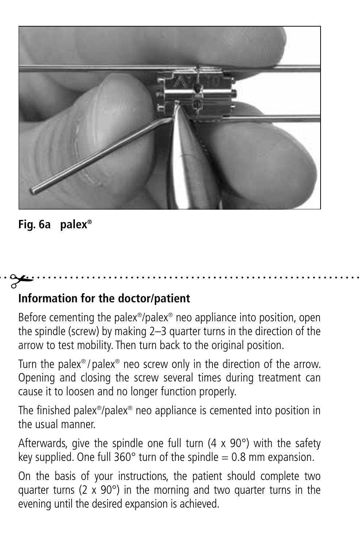

#### **Fig. 6a palex®**

# **Information for the doctor/patient**

Before cementing the palex®/palex® neo appliance into position, open the spindle (screw) by making 2–3 quarter turns in the direction of the arrow to test mobility. Then turn back to the original position.

Turn the palex® / palex® neo screw only in the direction of the arrow. Opening and closing the screw several times during treatment can cause it to loosen and no longer function properly.

The finished palex®/palex® neo appliance is cemented into position in the usual manner.

Afterwards, give the spindle one full turn (4 x 90°) with the safety key supplied. One full  $360^\circ$  turn of the spindle = 0.8 mm expansion.

On the basis of your instructions, the patient should complete two quarter turns ( $2 \times 90^\circ$ ) in the morning and two quarter turns in the evening until the desired expansion is achieved.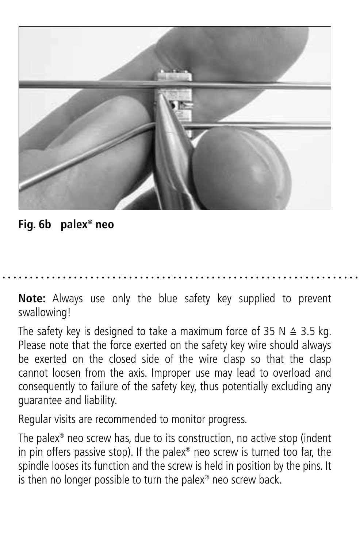

**Fig. 6b palex® neo**

**Note:** Always use only the blue safety key supplied to prevent swallowing!

The safety key is designed to take a maximum force of 35 N  $\triangle$  3.5 kg. Please note that the force exerted on the safety key wire should always be exerted on the closed side of the wire clasp so that the clasp cannot loosen from the axis. Improper use may lead to overload and consequently to failure of the safety key, thus potentially excluding any guarantee and liability.

Regular visits are recommended to monitor progress.

The palex® neo screw has, due to its construction, no active stop (indent in pin offers passive stop). If the palex® neo screw is turned too far, the spindle looses its function and the screw is held in position by the pins. It is then no longer possible to turn the palex® neo screw back.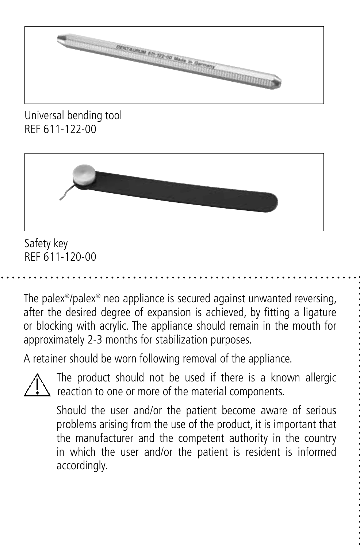

Universal bending tool REF 611-122-00



Safety key REF 611-120-00

The palex®/palex® neo appliance is secured against unwanted reversing, after the desired degree of expansion is achieved, by fitting a ligature or blocking with acrylic. The appliance should remain in the mouth for approximately 2-3 months for stabilization purposes.

A retainer should be worn following removal of the appliance.

The product should not be used if there is a known allergic reaction to one or more of the material components.

 Should the user and/or the patient become aware of serious problems arising from the use of the product, it is important that the manufacturer and the competent authority in the country in which the user and/or the patient is resident is informed accordingly.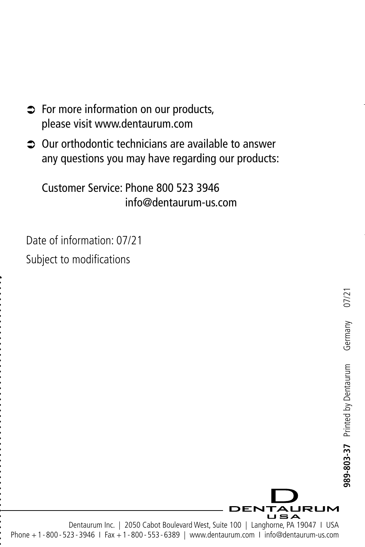- $\Rightarrow$  For more information on our products, please visit www.dentaurum.com
- Â Our orthodontic technicians are available to answer any questions you may have regarding our products:

Customer Service: Phone 800 523 3946 info@dentaurum-us.com

Date of information: 07/21 Subject to modifications



Dentaurum Inc. | 2050 Cabot Boulevard West, Suite 100 | Langhorne, PA 19047 | USA Phone +1 - 800 - 523 - 3946 I Fax +1 - 800 - 553 - 6389 | www.dentaurum.com I info@dentaurum-us.com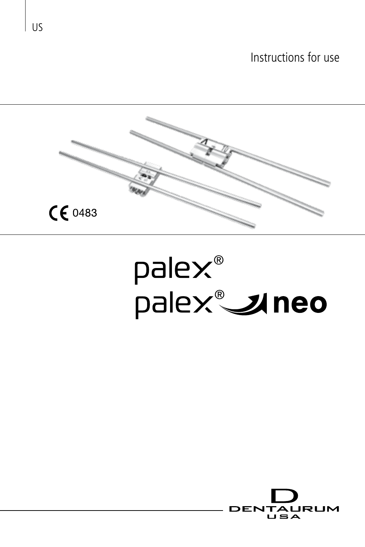Instructions for use



# palex®<br>palex®**\_\_uneo**



US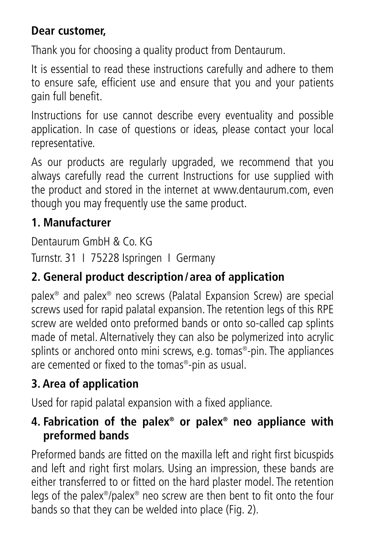#### **Dear customer,**

Thank you for choosing a quality product from Dentaurum.

It is essential to read these instructions carefully and adhere to them to ensure safe, efficient use and ensure that you and your patients gain full benefit.

Instructions for use cannot describe every eventuality and possible application. In case of questions or ideas, please contact your local representative.

As our products are regularly upgraded, we recommend that you always carefully read the current Instructions for use supplied with the product and stored in the internet at www.dentaurum.com, even though you may frequently use the same product.

#### **1. Manufacturer**

Dentaurum GmbH & Co. KG

Turnstr. 31 I 75228 Ispringen I Germany

#### **2. General product description/ area of application**

palex® and palex® neo screws (Palatal Expansion Screw) are special screws used for rapid palatal expansion. The retention legs of this RPE screw are welded onto preformed bands or onto so-called cap splints made of metal. Alternatively they can also be polymerized into acrylic splints or anchored onto mini screws, e.g. tomas®-pin. The appliances are cemented or fixed to the tomas®-pin as usual.

#### **3. Area of application**

Used for rapid palatal expansion with a fixed appliance.

#### **4. Fabrication of the palex® or palex® neo appliance with preformed bands**

Preformed bands are fitted on the maxilla left and right first bicuspids and left and right first molars. Using an impression, these bands are either transferred to or fitted on the hard plaster model. The retention legs of the palex®/palex® neo screw are then bent to fit onto the four bands so that they can be welded into place (Fig. 2).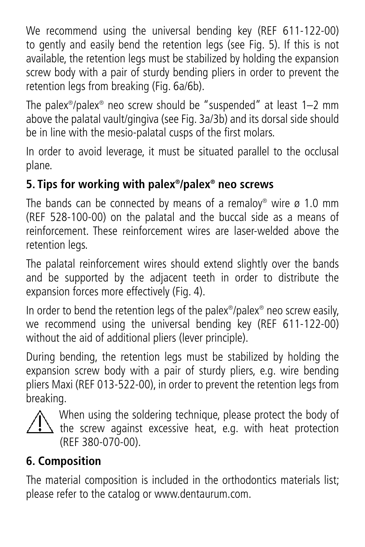We recommend using the universal bending key (REF 611-122-00) to gently and easily bend the retention legs (see Fig. 5). If this is not available, the retention legs must be stabilized by holding the expansion screw body with a pair of sturdy bending pliers in order to prevent the retention legs from breaking (Fig. 6a/6b)

The palex®/palex® neo screw should be "suspended" at least 1–2 mm above the palatal vault/gingiva (see Fig. 3a/3b) and its dorsal side should be in line with the mesio-palatal cusps of the first molars.

In order to avoid leverage, it must be situated parallel to the occlusal plane.

#### **5. Tips for working with palex®/palex® neo screws**

The bands can be connected by means of a remaloy® wire ø 1.0 mm (REF 528-100-00) on the palatal and the buccal side as a means of reinforcement. These reinforcement wires are laser-welded above the retention legs.

The palatal reinforcement wires should extend slightly over the bands and be supported by the adjacent teeth in order to distribute the expansion forces more effectively (Fig. 4).

In order to bend the retention legs of the palex®/palex® neo screw easily, we recommend using the universal bending key (REF 611-122-00) without the aid of additional pliers (lever principle).

During bending, the retention legs must be stabilized by holding the expansion screw body with a pair of sturdy pliers, e.g. wire bending pliers Maxi (REF 013-522-00), in order to prevent the retention legs from .<br>breaking.



When using the soldering technique, please protect the body of  $\Delta$  the screw against excessive heat, e.g. with heat protection (REF 380-070-00).

#### **6. Composition**

The material composition is included in the orthodontics materials list; please refer to the catalog or www.dentaurum.com.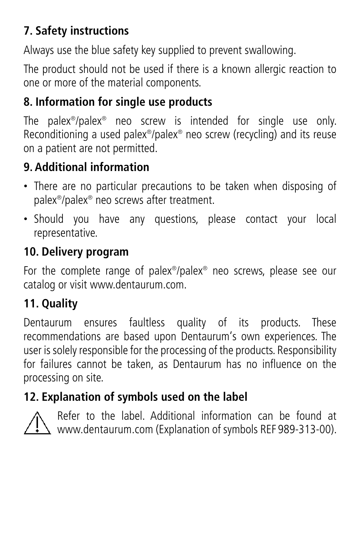### **7. Safety instructions**

Always use the blue safety key supplied to prevent swallowing.

The product should not be used if there is a known allergic reaction to one or more of the material components.

#### **8. Information for single use products**

The palex®/palex® neo screw is intended for single use only. Reconditioning a used palex®/palex® neo screw (recycling) and its reuse on a patient are not permitted.

# **9. Additional information**

- There are no particular precautions to be taken when disposing of palex®/palex® neo screws after treatment.
- Should you have any questions, please contact your local representative.

#### **10. Delivery program**

For the complete range of palex®/palex® neo screws, please see our catalog or visit www.dentaurum.com.

# **11. Quality**

Dentaurum ensures faultless quality of its products. These recommendations are based upon Dentaurum's own experiences. The user is solely responsible for the processing of the products. Responsibility for failures cannot be taken, as Dentaurum has no influence on the processing on site.

# **12. Explanation of symbols used on the label**



Refer to the label. Additional information can be found at www.dentaurum.com (Explanation of symbols REF 989-313-00).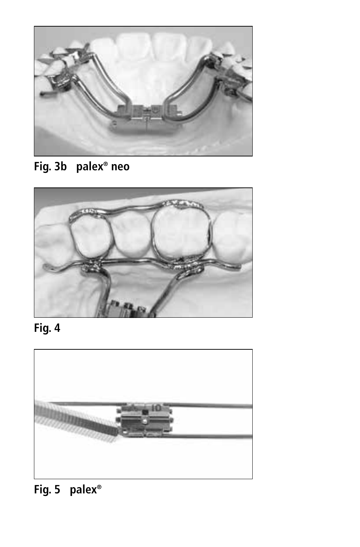

**Fig. 3b palex® neo**



**Fig. 4**



**Fig. 5 palex®**